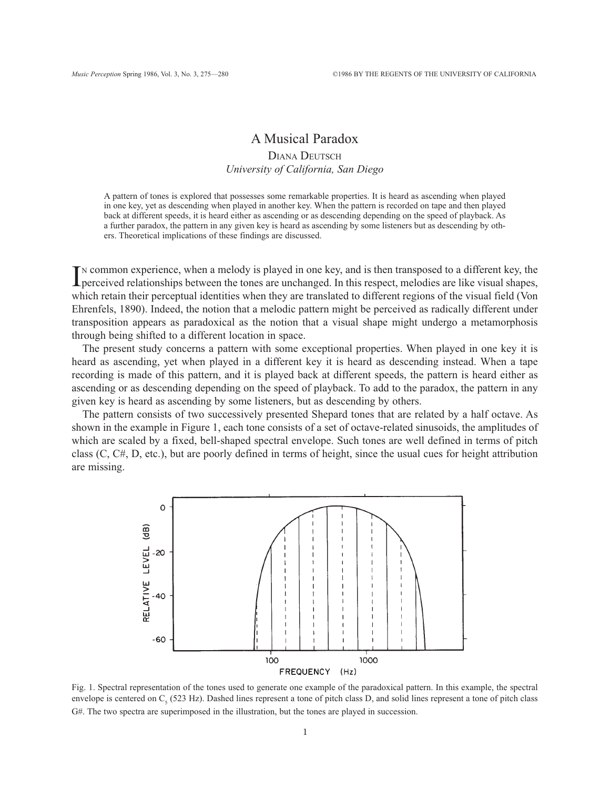# A Musical Paradox

## DIANA DEUTSCH University of California, San Diego

A pattern of tones is explored that possesses some remarkable properties. It is heard as ascending when played in one key, yet as descending when played in another key. When the pattern is recorded on tape and then played back at different speeds, it is heard either as ascending or as descending depending on the speed of playback. As a further paradox, the pattern in any given key is heard as ascending by some listeners but as descending by others. Theoretical implications of these findings are discussed.

IN COMMON EXPRESSION COMMON SURVEY IN SURVEY TO A SURVEY THE PRESENTATION CONTROLLED TO A SURVEY THE PRESENTING PRESENT ARE PRESENTED A SURVEY TO A SURVEY A SURVEY TO A SURVEY TO A SURVEY TO A SURVEY TO A SURVEY TO A SURVE <sup>N</sup> common experience, when a melody is played in one key, and is then transposed to a different key, the which retain their perceptual identities when they are translated to different regions of the visual field (Von Ehrenfels, 1890). Indeed, the notion that a melodic pattern might be perceived as radically different under transposition appears as paradoxical as the notion that a visual shape might undergo a metamorphosis through being shifted to a different location in space.

The present study concerns a pattern with some exceptional properties. When played in one key it is heard as ascending, yet when played in a different key it is heard as descending instead. When a tape recording is made of this pattern, and it is played back at different speeds, the pattern is heard either as ascending or as descending depending on the speed of playback. To add to the paradox, the pattern in any given key is heard as ascending by some listeners, but as descending by others.

The pattern consists of two successively presented Shepard tones that are related by a half octave. As shown in the example in Figure 1, each tone consists of a set of octave-related sinusoids, the amplitudes of which are scaled by a fixed, bell-shaped spectral envelope. Such tones are well defined in terms of pitch class (C, C#, D, etc.), but are poorly defined in terms of height, since the usual cues for height attribution are missing.



Fig. 1. Spectral representation of the tones used to generate one example of the paradoxical pattern. In this example, the spectral envelope is centered on  $C_5$  (523 Hz). Dashed lines represent a tone of pitch class D, and solid lines represent a tone of pitch class G#. The two spectra are superimposed in the illustration, but the tones are played in succession.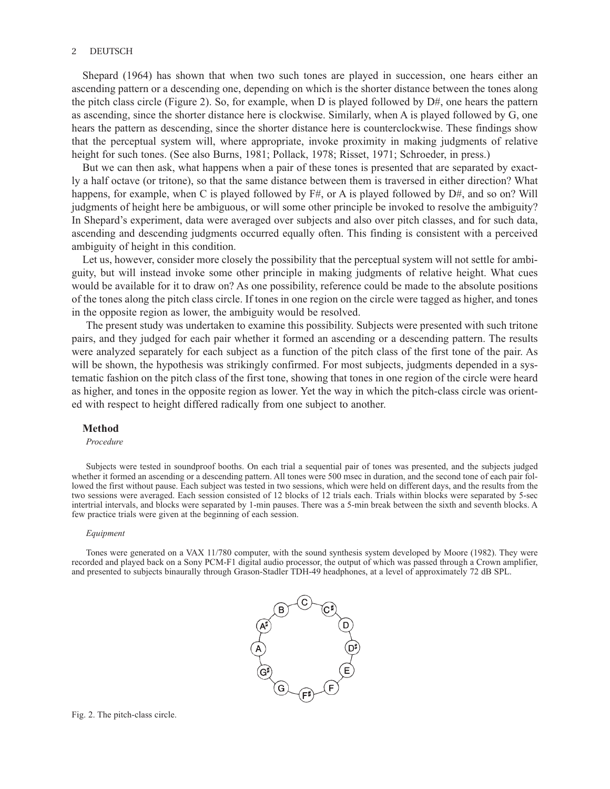## 2 DEUTSCH

Shepard (1964) has shown that when two such tones are played in succession, one hears either an ascending pattern or a descending one, depending on which is the shorter distance between the tones along the pitch class circle (Figure 2). So, for example, when D is played followed by  $D#$ , one hears the pattern as ascending, since the shorter distance here is clockwise. Similarly, when A is played followed by G, one hears the pattern as descending, since the shorter distance here is counterclockwise. These findings show that the perceptual system will, where appropriate, invoke proximity in making judgments of relative height for such tones. (See also Burns, 1981; Pollack, 1978; Risset, 1971; Schroeder, in press.)

But we can then ask, what happens when a pair of these tones is presented that are separated by exactly a half octave (or tritone), so that the same distance between them is traversed in either direction? What happens, for example, when C is played followed by  $F#$ , or A is played followed by  $D#$ , and so on? Will judgments of height here be ambiguous, or will some other principle be invoked to resolve the ambiguity? In Shepard's experiment, data were averaged over subjects and also over pitch classes, and for such data, ascending and descending judgments occurred equally often. This finding is consistent with a perceived ambiguity of height in this condition.

Let us, however, consider more closely the possibility that the perceptual system will not settle for ambiguity, but will instead invoke some other principle in making judgments of relative height. What cues would be available for it to draw on? As one possibility, reference could be made to the absolute positions of the tones along the pitch class circle. If tones in one region on the circle were tagged as higher, and tones in the opposite region as lower, the ambiguity would be resolved.

The present study was undertaken to examine this possibility. Subjects were presented with such tritone pairs, and they judged for each pair whether it formed an ascending or a descending pattern. The results were analyzed separately for each subject as a function of the pitch class of the first tone of the pair. As will be shown, the hypothesis was strikingly confirmed. For most subjects, judgments depended in a systematic fashion on the pitch class of the first tone, showing that tones in one region of the circle were heard as higher, and tones in the opposite region as lower. Yet the way in which the pitch-class circle was oriented with respect to height differed radically from one subject to another.

## Method

## Procedure

Subjects were tested in soundproof booths. On each trial a sequential pair of tones was presented, and the subjects judged whether it formed an ascending or a descending pattern. All tones were 500 msec in duration, and the second tone of each pair followed the first without pause. Each subject was tested in two sessions, which were held on different days, and the results from the two sessions were averaged. Each session consisted of 12 blocks of 12 trials each. Trials within blocks were separated by 5-sec intertrial intervals, and blocks were separated by 1-min pauses. There was a 5-min break between the sixth and seventh blocks. A few practice trials were given at the beginning of each session.

#### Equipment

Tones were generated on a VAX 11/780 computer, with the sound synthesis system developed by Moore (1982). They were recorded and played back on a Sony PCM-F1 digital audio processor, the output of which was passed through a Crown amplifier, and presented to subjects binaurally through Grason-Stadler TDH-49 headphones, at a level of approximately 72 dB SPL.



Fig. 2. The pitch-class circle.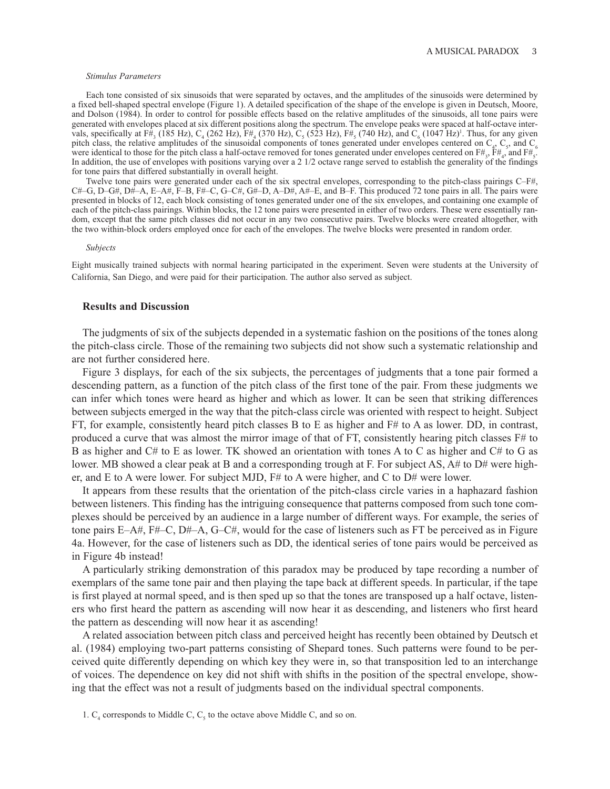### Stimulus Parameters

Each tone consisted of six sinusoids that were separated by octaves, and the amplitudes of the sinusoids were determined by a fixed bell-shaped spectral envelope (Figure 1). A detailed specification of the shape of the envelope is given in Deutsch, Moore, and Dolson (1984). In order to control for possible effects based on the relative amplitudes of the sinusoids, all tone pairs were generated with envelopes placed at six different positions along the spectrum. The envelope peaks were spaced at half-octave intervals, specifically at F#<sub>3</sub> (185 Hz), C<sub>4</sub> (262 Hz), F#<sub>4</sub> (370 Hz), C<sub>5</sub> (523 Hz), F#<sub>5</sub> (740 Hz), and C<sub>6</sub> (1047 Hz)<sup>1</sup>. Thus, for any given pitch class, the relative amplitudes of the sinusoidal components of tones generated under envelopes centered on  $C_4$ ,  $C_5$ , and  $C_6$ were identical to those for the pitch class a half-octave removed for tones generated under envelopes centered on  $F#_3$ ,  $F#_4$ , and  $F#_5$ . In addition, the use of envelopes with positions varying over a 2 1/2 octave range served to establish the generality of the findings for tone pairs that differed substantially in overall height.

Twelve tone pairs were generated under each of the six spectral envelopes, corresponding to the pitch-class pairings C–F#,  $C#$ –G, D–G#, D $\hat{H}$ –A, E–A#, F–B, F#–C, G–C#, G#–D, A–D#, A#–E, and B–F. This produced 72 tone pairs in all. The pairs were presented in blocks of 12, each block consisting of tones generated under one of the six envelopes, and containing one example of each of the pitch-class pairings. Within blocks, the 12 tone pairs were presented in either of two orders. These were essentially random, except that the same pitch classes did not occur in any two consecutive pairs. Twelve blocks were created altogether, with the two within-block orders employed once for each of the envelopes. The twelve blocks were presented in random order.

### Subjects

Eight musically trained subjects with normal hearing participated in the experiment. Seven were students at the University of California, San Diego, and were paid for their participation. The author also served as subject.

## Results and Discussion

The judgments of six of the subjects depended in a systematic fashion on the positions of the tones along the pitch-class circle. Those of the remaining two subjects did not show such a systematic relationship and are not further considered here.

Figure 3 displays, for each of the six subjects, the percentages of judgments that a tone pair formed a descending pattern, as a function of the pitch class of the first tone of the pair. From these judgments we can infer which tones were heard as higher and which as lower. It can be seen that striking differences between subjects emerged in the way that the pitch-class circle was oriented with respect to height. Subject FT, for example, consistently heard pitch classes B to E as higher and F# to A as lower. DD, in contrast, produced a curve that was almost the mirror image of that of FT, consistently hearing pitch classes F# to B as higher and C# to E as lower. TK showed an orientation with tones A to C as higher and C# to G as lower. MB showed a clear peak at B and a corresponding trough at F. For subject AS, A# to D# were higher, and E to A were lower. For subject MJD, F# to A were higher, and C to D# were lower.

It appears from these results that the orientation of the pitch-class circle varies in a haphazard fashion between listeners. This finding has the intriguing consequence that patterns composed from such tone complexes should be perceived by an audience in a large number of different ways. For example, the series of tone pairs E–A#, F#–C, D#–A, G–C#, would for the case of listeners such as FT be perceived as in Figure 4a. However, for the case of listeners such as DD, the identical series of tone pairs would be perceived as in Figure 4b instead!

A particularly striking demonstration of this paradox may be produced by tape recording a number of exemplars of the same tone pair and then playing the tape back at different speeds. In particular, if the tape is first played at normal speed, and is then sped up so that the tones are transposed up a half octave, listeners who first heard the pattern as ascending will now hear it as descending, and listeners who first heard the pattern as descending will now hear it as ascending!

A related association between pitch class and perceived height has recently been obtained by Deutsch et al. (1984) employing two-part patterns consisting of Shepard tones. Such patterns were found to be perceived quite differently depending on which key they were in, so that transposition led to an interchange of voices. The dependence on key did not shift with shifts in the position of the spectral envelope, showing that the effect was not a result of judgments based on the individual spectral components.

<sup>1.</sup>  $C_4$  corresponds to Middle C,  $C_5$  to the octave above Middle C, and so on.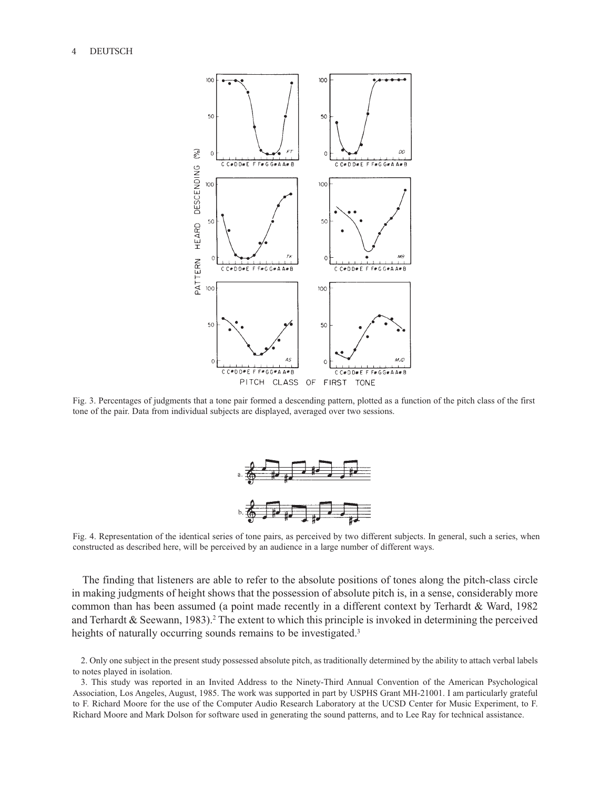

Fig. 3. Percentages of judgments that a tone pair formed a descending pattern, plotted as a function of the pitch class of the first tone of the pair. Data from individual subjects are displayed, averaged over two sessions.



Fig. 4. Representation of the identical series of tone pairs, as perceived by two different subjects. In general, such a series, when constructed as described here, will be perceived by an audience in a large number of different ways.

The finding that listeners are able to refer to the absolute positions of tones along the pitch-class circle in making judgments of height shows that the possession of absolute pitch is, in a sense, considerably more common than has been assumed (a point made recently in a different context by Terhardt & Ward, 1982 and Terhardt & Seewann, 1983).<sup>2</sup> The extent to which this principle is invoked in determining the perceived heights of naturally occurring sounds remains to be investigated.<sup>3</sup>

<sup>2.</sup> Only one subject in the present study possessed absolute pitch, as traditionally determined by the ability to attach verbal labels to notes played in isolation.

<sup>3.</sup> This study was reported in an Invited Address to the Ninety-Third Annual Convention of the American Psychological Association, Los Angeles, August, 1985. The work was supported in part by USPHS Grant MH-21001. I am particularly grateful to F. Richard Moore for the use of the Computer Audio Research Laboratory at the UCSD Center for Music Experiment, to F. Richard Moore and Mark Dolson for software used in generating the sound patterns, and to Lee Ray for technical assistance.